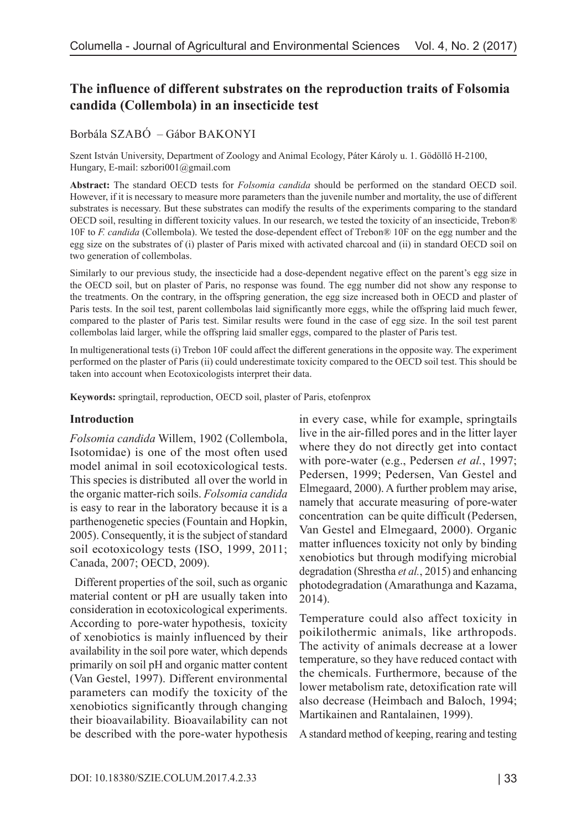# **The influence of different substrates on the reproduction traits of Folsomia candida (Collembola) in an insecticide test**

### Borbála SZABÓ – Gábor BAKONYI

Szent István University, Department of Zoology and Animal Ecology, Páter Károly u. 1. Gödöllő H-2100, Hungary, E-mail: szbori001@gmail.com

**Abstract:** The standard OECD tests for *Folsomia candida* should be performed on the standard OECD soil. However, if it is necessary to measure more parameters than the juvenile number and mortality, the use of different substrates is necessary. But these substrates can modify the results of the experiments comparing to the standard OECD soil, resulting in different toxicity values. In our research, we tested the toxicity of an insecticide, Trebon® 10F to *F. candida* (Collembola). We tested the dose-dependent effect of Trebon® 10F on the egg number and the egg size on the substrates of (i) plaster of Paris mixed with activated charcoal and (ii) in standard OECD soil on two generation of collembolas.

Similarly to our previous study, the insecticide had a dose-dependent negative effect on the parent's egg size in the OECD soil, but on plaster of Paris, no response was found. The egg number did not show any response to the treatments. On the contrary, in the offspring generation, the egg size increased both in OECD and plaster of Paris tests. In the soil test, parent collembolas laid significantly more eggs, while the offspring laid much fewer, compared to the plaster of Paris test. Similar results were found in the case of egg size. In the soil test parent collembolas laid larger, while the offspring laid smaller eggs, compared to the plaster of Paris test.

In multigenerational tests (i) Trebon 10F could affect the different generations in the opposite way. The experiment performed on the plaster of Paris (ii) could underestimate toxicity compared to the OECD soil test. This should be taken into account when Ecotoxicologists interpret their data.

**Keywords:** springtail, reproduction, OECD soil, plaster of Paris, etofenprox

#### **Introduction**

*Folsomia candida* Willem, 1902 (Collembola, Isotomidae) is one of the most often used model animal in soil ecotoxicological tests. This species is distributed all over the world in the organic matter-rich soils. *Folsomia candida*  is easy to rear in the laboratory because it is a parthenogenetic species (Fountain and Hopkin, 2005). Consequently, it is the subject of standard soil ecotoxicology tests (ISO, 1999, 2011; Canada, 2007; OECD, 2009).

 Different properties of the soil, such as organic material content or pH are usually taken into consideration in ecotoxicological experiments. According to pore-water hypothesis, toxicity of xenobiotics is mainly influenced by their availability in the soil pore water, which depends primarily on soil pH and organic matter content (Van Gestel, 1997). Different environmental parameters can modify the toxicity of the xenobiotics significantly through changing their bioavailability. Bioavailability can not be described with the pore-water hypothesis in every case, while for example, springtails live in the air-filled pores and in the litter layer where they do not directly get into contact with pore-water (e.g., Pedersen *et al.*, 1997; Pedersen, 1999; Pedersen, Van Gestel and Elmegaard, 2000). A further problem may arise, namely that accurate measuring of pore-water concentration can be quite difficult (Pedersen, Van Gestel and Elmegaard, 2000). Organic matter influences toxicity not only by binding xenobiotics but through modifying microbial degradation (Shrestha *et al.*, 2015) and enhancing photodegradation (Amarathunga and Kazama, 2014).

Temperature could also affect toxicity in poikilothermic animals, like arthropods. The activity of animals decrease at a lower temperature, so they have reduced contact with the chemicals. Furthermore, because of the lower metabolism rate, detoxification rate will also decrease (Heimbach and Baloch, 1994; Martikainen and Rantalainen, 1999).

A standard method of keeping, rearing and testing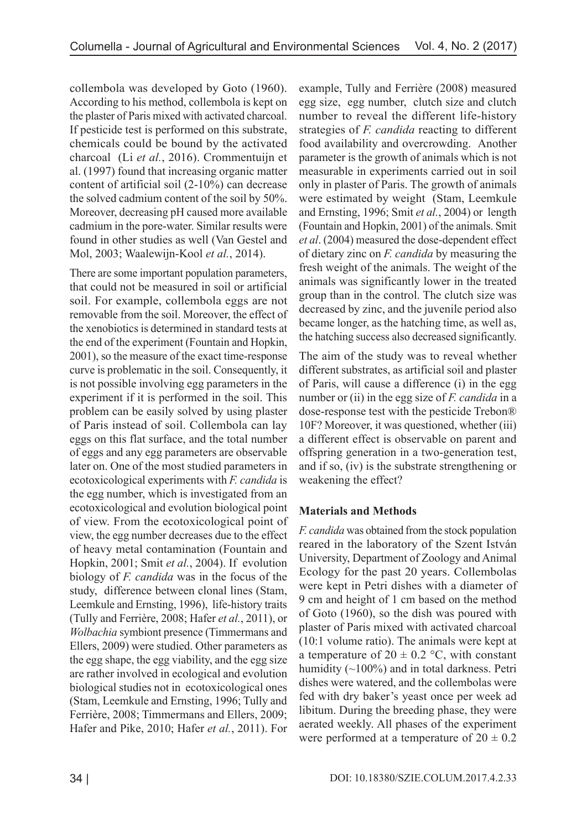collembola was developed by Goto (1960). According to his method, collembola is kept on the plaster of Paris mixed with activated charcoal. If pesticide test is performed on this substrate, chemicals could be bound by the activated charcoal (Li *et al.*, 2016). Crommentuijn et al. (1997) found that increasing organic matter content of artificial soil (2-10%) can decrease the solved cadmium content of the soil by 50%. Moreover, decreasing pH caused more available cadmium in the pore-water. Similar results were found in other studies as well (Van Gestel and Mol, 2003; Waalewijn-Kool *et al.*, 2014).

There are some important population parameters, that could not be measured in soil or artificial soil. For example, collembola eggs are not removable from the soil. Moreover, the effect of the xenobiotics is determined in standard tests at the end of the experiment (Fountain and Hopkin, 2001), so the measure of the exact time-response curve is problematic in the soil. Consequently, it is not possible involving egg parameters in the experiment if it is performed in the soil. This problem can be easily solved by using plaster of Paris instead of soil. Collembola can lay eggs on this flat surface, and the total number of eggs and any egg parameters are observable later on. One of the most studied parameters in ecotoxicological experiments with *F. candida* is the egg number, which is investigated from an ecotoxicological and evolution biological point of view. From the ecotoxicological point of view, the egg number decreases due to the effect of heavy metal contamination (Fountain and Hopkin, 2001; Smit *et al.*, 2004). If evolution biology of *F. candida* was in the focus of the study, difference between clonal lines (Stam, Leemkule and Ernsting, 1996), life-history traits (Tully and Ferrière, 2008; Hafer *et al.*, 2011), or *Wolbachia* symbiont presence (Timmermans and Ellers, 2009) were studied. Other parameters as the egg shape, the egg viability, and the egg size are rather involved in ecological and evolution biological studies not in ecotoxicological ones (Stam, Leemkule and Ernsting, 1996; Tully and Ferrière, 2008; Timmermans and Ellers, 2009; Hafer and Pike, 2010; Hafer *et al.*, 2011). For

example, Tully and Ferrière (2008) measured egg size, egg number, clutch size and clutch number to reveal the different life-history strategies of *F. candida* reacting to different food availability and overcrowding. Another parameter is the growth of animals which is not measurable in experiments carried out in soil only in plaster of Paris. The growth of animals were estimated by weight (Stam, Leemkule and Ernsting, 1996; Smit *et al.*, 2004) or length (Fountain and Hopkin, 2001) of the animals. Smit *et al*. (2004) measured the dose-dependent effect of dietary zinc on *F. candida* by measuring the fresh weight of the animals. The weight of the animals was significantly lower in the treated group than in the control. The clutch size was decreased by zinc, and the juvenile period also became longer, as the hatching time, as well as, the hatching success also decreased significantly.

The aim of the study was to reveal whether different substrates, as artificial soil and plaster of Paris, will cause a difference (i) in the egg number or (ii) in the egg size of *F. candida* in a dose-response test with the pesticide Trebon® 10F? Moreover, it was questioned, whether (iii) a different effect is observable on parent and offspring generation in a two-generation test, and if so, (iv) is the substrate strengthening or weakening the effect?

## **Materials and Methods**

*F. candida* was obtained from the stock population reared in the laboratory of the Szent István University, Department of Zoology and Animal Ecology for the past 20 years. Collembolas were kept in Petri dishes with a diameter of 9 cm and height of 1 cm based on the method of Goto (1960), so the dish was poured with plaster of Paris mixed with activated charcoal (10:1 volume ratio). The animals were kept at a temperature of  $20 \pm 0.2$  °C, with constant humidity (~100%) and in total darkness. Petri dishes were watered, and the collembolas were fed with dry baker's yeast once per week ad libitum. During the breeding phase, they were aerated weekly. All phases of the experiment were performed at a temperature of  $20 \pm 0.2$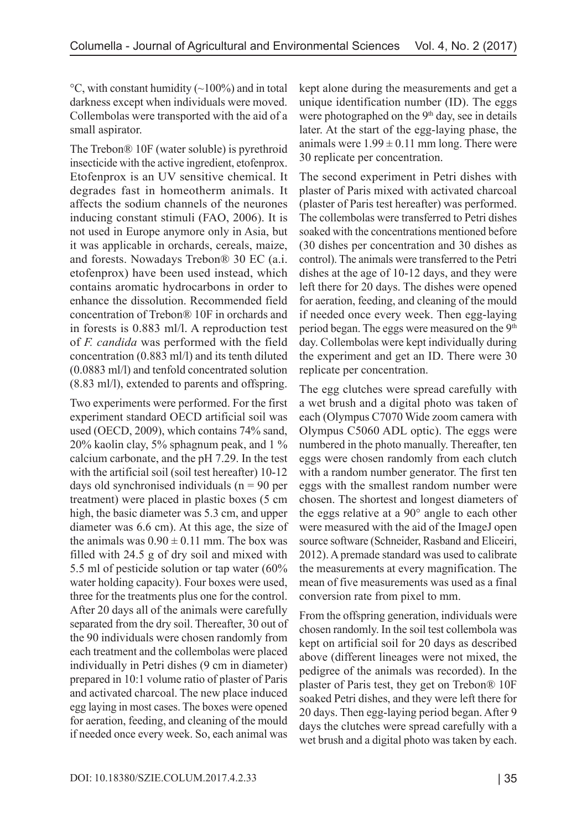$\rm{^{\circ}C}$ , with constant humidity ( $\rm{\sim}100\%$ ) and in total darkness except when individuals were moved. Collembolas were transported with the aid of a small aspirator.

The Trebon® 10F (water soluble) is pyrethroid insecticide with the active ingredient, etofenprox. Etofenprox is an UV sensitive chemical. It degrades fast in homeotherm animals. It affects the sodium channels of the neurones inducing constant stimuli (FAO, 2006). It is not used in Europe anymore only in Asia, but it was applicable in orchards, cereals, maize, and forests. Nowadays Trebon® 30 EC (a.i. etofenprox) have been used instead, which contains aromatic hydrocarbons in order to enhance the dissolution. Recommended field concentration of Trebon® 10F in orchards and in forests is 0.883 ml/l. A reproduction test of *F. candida* was performed with the field concentration (0.883 ml/l) and its tenth diluted (0.0883 ml/l) and tenfold concentrated solution (8.83 ml/l), extended to parents and offspring.

Two experiments were performed. For the first experiment standard OECD artificial soil was used (OECD, 2009), which contains 74% sand, 20% kaolin clay, 5% sphagnum peak, and 1 % calcium carbonate, and the pH 7.29. In the test with the artificial soil (soil test hereafter) 10-12 days old synchronised individuals ( $n = 90$  per treatment) were placed in plastic boxes (5 cm high, the basic diameter was 5.3 cm, and upper diameter was 6.6 cm). At this age, the size of the animals was  $0.90 \pm 0.11$  mm. The box was filled with 24.5 g of dry soil and mixed with 5.5 ml of pesticide solution or tap water (60% water holding capacity). Four boxes were used, three for the treatments plus one for the control. After 20 days all of the animals were carefully separated from the dry soil. Thereafter, 30 out of the 90 individuals were chosen randomly from each treatment and the collembolas were placed individually in Petri dishes (9 cm in diameter) prepared in 10:1 volume ratio of plaster of Paris and activated charcoal. The new place induced egg laying in most cases. The boxes were opened for aeration, feeding, and cleaning of the mould if needed once every week. So, each animal was

kept alone during the measurements and get a unique identification number (ID). The eggs were photographed on the 9<sup>th</sup> day, see in details later. At the start of the egg-laying phase, the animals were  $1.99 \pm 0.11$  mm long. There were 30 replicate per concentration.

The second experiment in Petri dishes with plaster of Paris mixed with activated charcoal (plaster of Paris test hereafter) was performed. The collembolas were transferred to Petri dishes soaked with the concentrations mentioned before (30 dishes per concentration and 30 dishes as control). The animals were transferred to the Petri dishes at the age of 10-12 days, and they were left there for 20 days. The dishes were opened for aeration, feeding, and cleaning of the mould if needed once every week. Then egg-laying period began. The eggs were measured on the 9<sup>th</sup> day. Collembolas were kept individually during the experiment and get an ID. There were 30 replicate per concentration.

The egg clutches were spread carefully with a wet brush and a digital photo was taken of each (Olympus C7070 Wide zoom camera with Olympus C5060 ADL optic). The eggs were numbered in the photo manually. Thereafter, ten eggs were chosen randomly from each clutch with a random number generator. The first ten eggs with the smallest random number were chosen. The shortest and longest diameters of the eggs relative at a 90° angle to each other were measured with the aid of the ImageJ open source software (Schneider, Rasband and Eliceiri, 2012). A premade standard was used to calibrate the measurements at every magnification. The mean of five measurements was used as a final conversion rate from pixel to mm.

From the offspring generation, individuals were chosen randomly. In the soil test collembola was kept on artificial soil for 20 days as described above (different lineages were not mixed, the pedigree of the animals was recorded). In the plaster of Paris test, they get on Trebon® 10F soaked Petri dishes, and they were left there for 20 days. Then egg-laying period began. After 9 days the clutches were spread carefully with a wet brush and a digital photo was taken by each.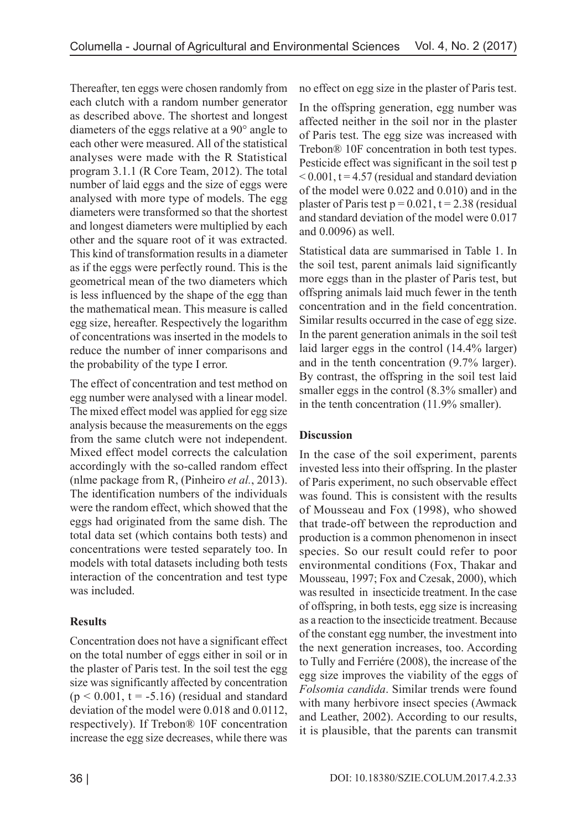Thereafter, ten eggs were chosen randomly from each clutch with a random number generator as described above. The shortest and longest diameters of the eggs relative at a 90° angle to each other were measured. All of the statistical analyses were made with the R Statistical program 3.1.1 (R Core Team, 2012). The total number of laid eggs and the size of eggs were analysed with more type of models. The egg diameters were transformed so that the shortest and longest diameters were multiplied by each other and the square root of it was extracted. This kind of transformation results in a diameter as if the eggs were perfectly round. This is the geometrical mean of the two diameters which is less influenced by the shape of the egg than the mathematical mean. This measure is called egg size, hereafter. Respectively the logarithm of concentrations was inserted in the models to reduce the number of inner comparisons and the probability of the type I error.

The effect of concentration and test method on egg number were analysed with a linear model. The mixed effect model was applied for egg size analysis because the measurements on the eggs from the same clutch were not independent. Mixed effect model corrects the calculation accordingly with the so-called random effect (nlme package from R, (Pinheiro *et al.*, 2013). The identification numbers of the individuals were the random effect, which showed that the eggs had originated from the same dish. The total data set (which contains both tests) and concentrations were tested separately too. In models with total datasets including both tests interaction of the concentration and test type was included.

## **Results**

Concentration does not have a significant effect on the total number of eggs either in soil or in the plaster of Paris test. In the soil test the egg size was significantly affected by concentration  $(p < 0.001$ ,  $t = -5.16$ ) (residual and standard deviation of the model were 0.018 and 0.0112, respectively). If Trebon® 10F concentration increase the egg size decreases, while there was

no effect on egg size in the plaster of Paris test.

In the offspring generation, egg number was affected neither in the soil nor in the plaster of Paris test. The egg size was increased with Trebon® 10F concentration in both test types. Pesticide effect was significant in the soil test p  $< 0.001$ , t = 4.57 (residual and standard deviation of the model were 0.022 and 0.010) and in the plaster of Paris test  $p = 0.021$ ,  $t = 2.38$  (residual and standard deviation of the model were 0.017 and 0.0096) as well.

Statistical data are summarised in Table 1. In the soil test, parent animals laid significantly more eggs than in the plaster of Paris test, but offspring animals laid much fewer in the tenth concentration and in the field concentration. Similar results occurred in the case of egg size. In the parent generation animals in the soil test laid larger eggs in the control (14.4% larger) and in the tenth concentration (9.7% larger). By contrast, the offspring in the soil test laid smaller eggs in the control (8.3% smaller) and in the tenth concentration (11.9% smaller).

## **Discussion**

In the case of the soil experiment, parents invested less into their offspring. In the plaster of Paris experiment, no such observable effect was found. This is consistent with the results of Mousseau and Fox (1998), who showed that trade-off between the reproduction and production is a common phenomenon in insect species. So our result could refer to poor environmental conditions (Fox, Thakar and Mousseau, 1997; Fox and Czesak, 2000), which was resulted in insecticide treatment. In the case of offspring, in both tests, egg size is increasing as a reaction to the insecticide treatment. Because of the constant egg number, the investment into the next generation increases, too. According to Tully and Ferriére (2008), the increase of the egg size improves the viability of the eggs of *Folsomia candida*. Similar trends were found with many herbivore insect species (Awmack and Leather, 2002). According to our results, it is plausible, that the parents can transmit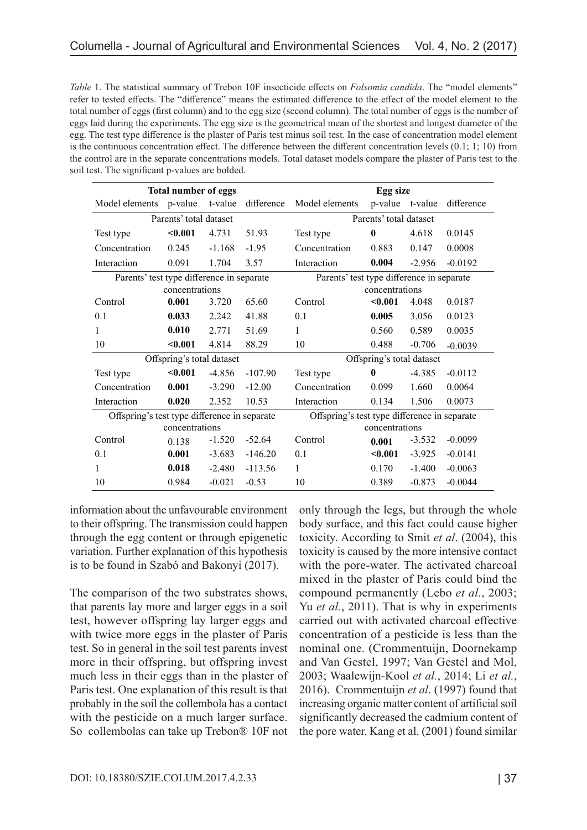| Table 1. The statistical summary of Trebon 10F insecticide effects on <i>Folsomia candida</i> . The "model elements"   |
|------------------------------------------------------------------------------------------------------------------------|
| refer to tested effects. The "difference" means the estimated difference to the effect of the model element to the     |
| total number of eggs (first column) and to the egg size (second column). The total number of eggs is the number of     |
| eggs laid during the experiments. The egg size is the geometrical mean of the shortest and longest diameter of the     |
| egg. The test type difference is the plaster of Paris test minus soil test. In the case of concentration model element |
| is the continuous concentration effect. The difference between the different concentration levels $(0.1; 1; 10)$ from  |
| the control are in the separate concentrations models. Total dataset models compare the plaster of Paris test to the   |
| soil test. The significant p-values are bolded.                                                                        |
|                                                                                                                        |

| <b>Total number of eggs</b>                  |         |          |                | Egg size                                     |              |          |            |
|----------------------------------------------|---------|----------|----------------|----------------------------------------------|--------------|----------|------------|
| Model elements p-value                       |         | t-value  | difference     | Model elements                               | p-value      | t-value  | difference |
| Parents' total dataset                       |         |          |                | Parents' total dataset                       |              |          |            |
| Test type                                    | $0.001$ | 4.731    | 51.93          | Test type                                    | $\bf{0}$     | 4.618    | 0.0145     |
| Concentration                                | 0.245   | $-1.168$ | $-1.95$        | Concentration                                | 0.883        | 0.147    | 0.0008     |
| Interaction                                  | 0.091   | 1.704    | 3.57           | Interaction                                  | 0.004        | $-2.956$ | $-0.0192$  |
| Parents' test type difference in separate    |         |          |                | Parents' test type difference in separate    |              |          |            |
| concentrations                               |         |          |                | concentrations                               |              |          |            |
| Control                                      | 0.001   | 3.720    | 65.60          | Control                                      | < 0.001      | 4.048    | 0.0187     |
| 0.1                                          | 0.033   | 2.242    | 41.88          | 0.1                                          | 0.005        | 3.056    | 0.0123     |
| 1                                            | 0.010   | 2.771    | 51.69          | 1                                            | 0.560        | 0.589    | 0.0035     |
| 10                                           | < 0.001 | 4.814    | 88.29          | 10                                           | 0.488        | $-0.706$ | $-0.0039$  |
| Offspring's total dataset                    |         |          |                | Offspring's total dataset                    |              |          |            |
| Test type                                    | < 0.001 | $-4.856$ | $-107.90$      | Test type                                    | $\mathbf{0}$ | $-4.385$ | $-0.0112$  |
| Concentration                                | 0.001   | $-3.290$ | $-12.00$       | Concentration                                | 0.099        | 1.660    | 0.0064     |
| Interaction                                  | 0.020   | 2.352    | 10.53          | Interaction                                  | 0.134        | 1.506    | 0.0073     |
| Offspring's test type difference in separate |         |          |                | Offspring's test type difference in separate |              |          |            |
| concentrations                               |         |          | concentrations |                                              |              |          |            |
| Control                                      | 0.138   | $-1.520$ | $-52.64$       | Control                                      | 0.001        | $-3.532$ | $-0.0099$  |
| 0.1                                          | 0.001   | $-3.683$ | $-146.20$      | 0.1                                          | $0.001$      | $-3.925$ | $-0.0141$  |
| 1                                            | 0.018   | $-2.480$ | $-113.56$      | 1                                            | 0.170        | $-1.400$ | $-0.0063$  |
| 10                                           | 0.984   | $-0.021$ | $-0.53$        | 10                                           | 0.389        | $-0.873$ | $-0.0044$  |

information about the unfavourable environment to their offspring. The transmission could happen through the egg content or through epigenetic variation. Further explanation of this hypothesis is to be found in Szabó and Bakonyi (2017).

The comparison of the two substrates shows, that parents lay more and larger eggs in a soil test, however offspring lay larger eggs and with twice more eggs in the plaster of Paris test. So in general in the soil test parents invest more in their offspring, but offspring invest much less in their eggs than in the plaster of Paris test. One explanation of this result is that probably in the soil the collembola has a contact with the pesticide on a much larger surface. So collembolas can take up Trebon® 10F not

only through the legs, but through the whole body surface, and this fact could cause higher toxicity. According to Smit *et al*. (2004), this toxicity is caused by the more intensive contact with the pore-water. The activated charcoal mixed in the plaster of Paris could bind the compound permanently (Lebo *et al.*, 2003; Yu *et al.*, 2011). That is why in experiments carried out with activated charcoal effective concentration of a pesticide is less than the nominal one. (Crommentuijn, Doornekamp and Van Gestel, 1997; Van Gestel and Mol, 2003; Waalewijn-Kool *et al.*, 2014; Li *et al.*, 2016). Crommentuijn *et al*. (1997) found that increasing organic matter content of artificial soil significantly decreased the cadmium content of the pore water. Kang et al. (2001) found similar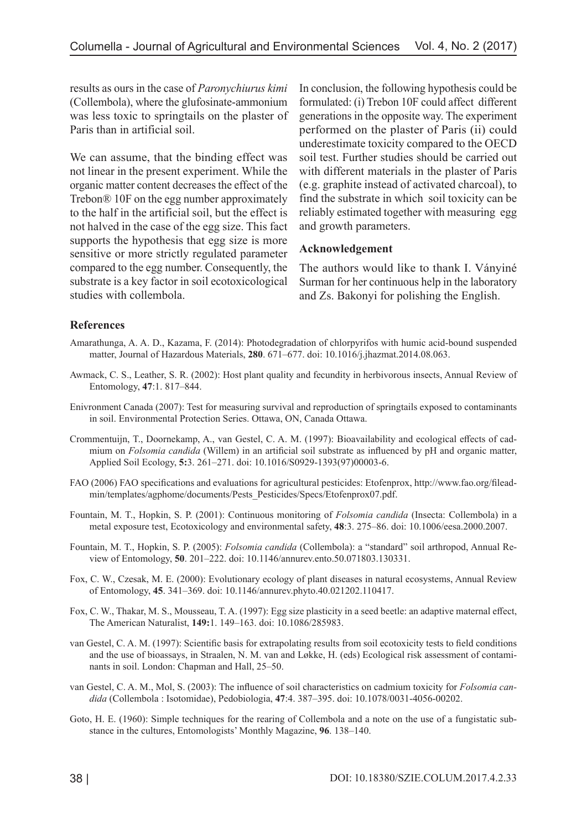results as ours in the case of *Paronychiurus kimi* (Collembola), where the glufosinate-ammonium was less toxic to springtails on the plaster of Paris than in artificial soil.

We can assume, that the binding effect was not linear in the present experiment. While the organic matter content decreases the effect of the Trebon® 10F on the egg number approximately to the half in the artificial soil, but the effect is not halved in the case of the egg size. This fact supports the hypothesis that egg size is more sensitive or more strictly regulated parameter compared to the egg number. Consequently, the substrate is a key factor in soil ecotoxicological studies with collembola.

In conclusion, the following hypothesis could be formulated: (i) Trebon 10F could affect different generations in the opposite way. The experiment performed on the plaster of Paris (ii) could underestimate toxicity compared to the OECD soil test. Further studies should be carried out with different materials in the plaster of Paris (e.g. graphite instead of activated charcoal), to find the substrate in which soil toxicity can be reliably estimated together with measuring egg and growth parameters.

#### **Acknowledgement**

The authors would like to thank I. Ványiné Surman for her continuous help in the laboratory and Zs. Bakonyi for polishing the English.

#### **References**

- Amarathunga, A. A. D., Kazama, F. (2014): Photodegradation of chlorpyrifos with humic acid-bound suspended matter, Journal of Hazardous Materials, **280**. 671–677. doi: 10.1016/j.jhazmat.2014.08.063.
- Awmack, C. S., Leather, S. R. (2002): Host plant quality and fecundity in herbivorous insects, Annual Review of Entomology, **47**:1. 817–844.
- Enivronment Canada (2007): Test for measuring survival and reproduction of springtails exposed to contaminants in soil. Environmental Protection Series. Ottawa, ON, Canada Ottawa.
- Crommentuijn, T., Doornekamp, A., van Gestel, C. A. M. (1997): Bioavailability and ecological effects of cadmium on *Folsomia candida* (Willem) in an artificial soil substrate as influenced by pH and organic matter, Applied Soil Ecology, **5:**3. 261–271. doi: 10.1016/S0929-1393(97)00003-6.
- FAO (2006) FAO specifications and evaluations for agricultural pesticides: Etofenprox, http://www.fao.org/fileadmin/templates/agphome/documents/Pests\_Pesticides/Specs/Etofenprox07.pdf.
- Fountain, M. T., Hopkin, S. P. (2001): Continuous monitoring of *Folsomia candida* (Insecta: Collembola) in a metal exposure test, Ecotoxicology and environmental safety, **48**:3. 275–86. doi: 10.1006/eesa.2000.2007.
- Fountain, M. T., Hopkin, S. P. (2005): *Folsomia candida* (Collembola): a "standard" soil arthropod, Annual Review of Entomology, **50**. 201–222. doi: 10.1146/annurev.ento.50.071803.130331.
- Fox, C. W., Czesak, M. E. (2000): Evolutionary ecology of plant diseases in natural ecosystems, Annual Review of Entomology, **45**. 341–369. doi: 10.1146/annurev.phyto.40.021202.110417.
- Fox, C. W., Thakar, M. S., Mousseau, T. A. (1997): Egg size plasticity in a seed beetle: an adaptive maternal effect, The American Naturalist, **149:**1. 149–163. doi: 10.1086/285983.
- van Gestel, C. A. M. (1997): Scientific basis for extrapolating results from soil ecotoxicity tests to field conditions and the use of bioassays, in Straalen, N. M. van and Løkke, H. (eds) Ecological risk assessment of contaminants in soil. London: Chapman and Hall, 25–50.
- van Gestel, C. A. M., Mol, S. (2003): The influence of soil characteristics on cadmium toxicity for *Folsomia candida* (Collembola : Isotomidae), Pedobiologia, **47**:4. 387–395. doi: 10.1078/0031-4056-00202.
- Goto, H. E. (1960): Simple techniques for the rearing of Collembola and a note on the use of a fungistatic substance in the cultures, Entomologists' Monthly Magazine, **96**. 138–140.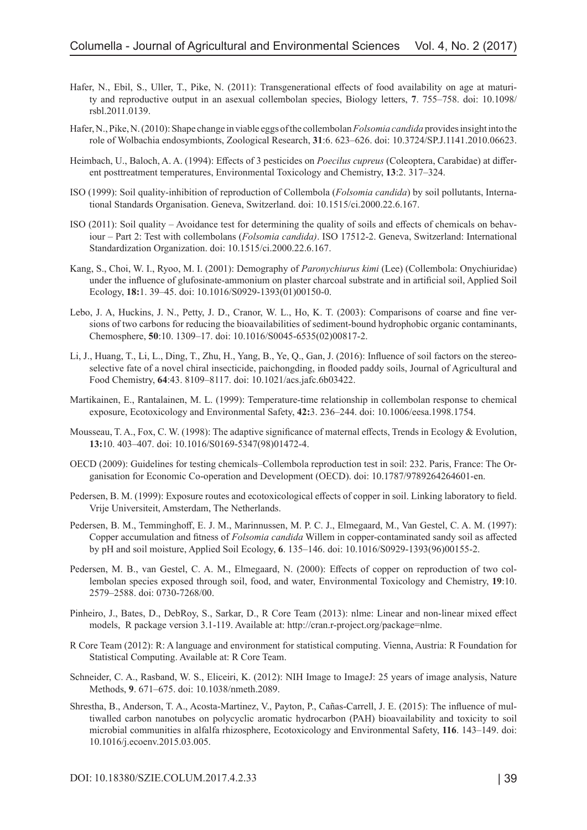- Hafer, N., Ebil, S., Uller, T., Pike, N. (2011): Transgenerational effects of food availability on age at maturity and reproductive output in an asexual collembolan species, Biology letters, **7**. 755–758. doi: 10.1098/ rsbl.2011.0139.
- Hafer, N., Pike, N. (2010): Shape change in viable eggs of the collembolan *Folsomia candida* provides insight into the role of Wolbachia endosymbionts, Zoological Research, **31**:6. 623–626. doi: 10.3724/SP.J.1141.2010.06623.
- Heimbach, U., Baloch, A. A. (1994): Effects of 3 pesticides on *Poecilus cupreus* (Coleoptera, Carabidae) at different posttreatment temperatures, Environmental Toxicology and Chemistry, **13**:2. 317–324.
- ISO (1999): Soil quality-inhibition of reproduction of Collembola (*Folsomia candida*) by soil pollutants, International Standards Organisation. Geneva, Switzerland. doi: 10.1515/ci.2000.22.6.167.
- ISO (2011): Soil quality Avoidance test for determining the quality of soils and effects of chemicals on behaviour – Part 2: Test with collembolans (*Folsomia candida)*. ISO 17512-2. Geneva, Switzerland: International Standardization Organization. doi: 10.1515/ci.2000.22.6.167.
- Kang, S., Choi, W. I., Ryoo, M. I. (2001): Demography of *Paronychiurus kimi* (Lee) (Collembola: Onychiuridae) under the influence of glufosinate-ammonium on plaster charcoal substrate and in artificial soil, Applied Soil Ecology, **18:**1. 39–45. doi: 10.1016/S0929-1393(01)00150-0.
- Lebo, J. A, Huckins, J. N., Petty, J. D., Cranor, W. L., Ho, K. T. (2003): Comparisons of coarse and fine versions of two carbons for reducing the bioavailabilities of sediment-bound hydrophobic organic contaminants, Chemosphere, **50**:10. 1309–17. doi: 10.1016/S0045-6535(02)00817-2.
- Li, J., Huang, T., Li, L., Ding, T., Zhu, H., Yang, B., Ye, Q., Gan, J. (2016): Influence of soil factors on the stereoselective fate of a novel chiral insecticide, paichongding, in flooded paddy soils, Journal of Agricultural and Food Chemistry, **64**:43. 8109–8117. doi: 10.1021/acs.jafc.6b03422.
- Martikainen, E., Rantalainen, M. L. (1999): Temperature-time relationship in collembolan response to chemical exposure, Ecotoxicology and Environmental Safety, **42:**3. 236–244. doi: 10.1006/eesa.1998.1754.
- Mousseau, T. A., Fox, C. W. (1998): The adaptive significance of maternal effects, Trends in Ecology & Evolution, **13:**10. 403–407. doi: 10.1016/S0169-5347(98)01472-4.
- OECD (2009): Guidelines for testing chemicals–Collembola reproduction test in soil: 232. Paris, France: The Organisation for Economic Co-operation and Development (OECD). doi: 10.1787/9789264264601-en.
- Pedersen, B. M. (1999): Exposure routes and ecotoxicological effects of copper in soil. Linking laboratory to field. Vrije Universiteit, Amsterdam, The Netherlands.
- Pedersen, B. M., Temminghoff, E. J. M., Marinnussen, M. P. C. J., Elmegaard, M., Van Gestel, C. A. M. (1997): Copper accumulation and fitness of *Folsomia candida* Willem in copper-contaminated sandy soil as affected by pH and soil moisture, Applied Soil Ecology, **6**. 135–146. doi: 10.1016/S0929-1393(96)00155-2.
- Pedersen, M. B., van Gestel, C. A. M., Elmegaard, N. (2000): Effects of copper on reproduction of two collembolan species exposed through soil, food, and water, Environmental Toxicology and Chemistry, **19**:10. 2579–2588. doi: 0730-7268/00.
- Pinheiro, J., Bates, D., DebRoy, S., Sarkar, D., R Core Team (2013): nlme: Linear and non-linear mixed effect models, R package version 3.1-119. Available at: http://cran.r-project.org/package=nlme.
- R Core Team (2012): R: A language and environment for statistical computing. Vienna, Austria: R Foundation for Statistical Computing. Available at: R Core Team.
- Schneider, C. A., Rasband, W. S., Eliceiri, K. (2012): NIH Image to ImageJ: 25 years of image analysis, Nature Methods, **9**. 671–675. doi: 10.1038/nmeth.2089.
- Shrestha, B., Anderson, T. A., Acosta-Martinez, V., Payton, P., Cañas-Carrell, J. E. (2015): The influence of multiwalled carbon nanotubes on polycyclic aromatic hydrocarbon (PAH) bioavailability and toxicity to soil microbial communities in alfalfa rhizosphere, Ecotoxicology and Environmental Safety, **116**. 143–149. doi: 10.1016/j.ecoenv.2015.03.005.